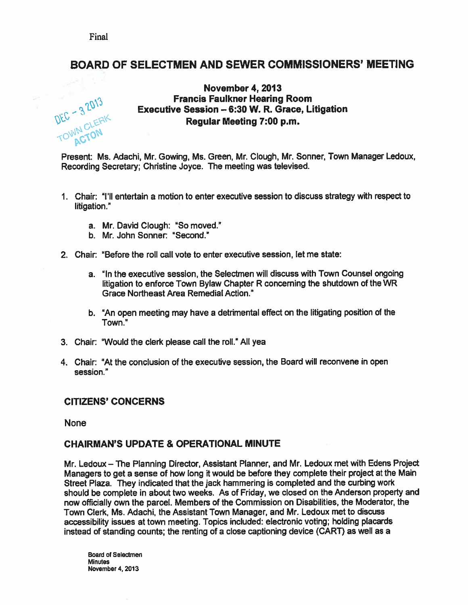# BOARD OF SELECTMEN AND SEWER COMMISSIONERS' MEETING

- •

## November 4, 2013 Francis Faulkner Hearing Room Executive Session - 6:30 W. R. Grace, Litigation Regular Meeting 7:00 p.m.

Present: Ms. Adachi, Mr. Gowing, Ms. Green, Mr. dough, Mr. Sonner, Town Manager Ledoux, Recording Secretary; Christine Joyce. The meeting was televised.

- 1. Chair: "I'll entertain <sup>a</sup> motion to enter executive session to discuss strategy with respec<sup>t</sup> to litigation."
	- a. Mr. David Clough: "So moved."
	- b. Mr. John Sonner: "Second."
- 2. Chair "Before the roll call vote to enter executive session, let me state:
	- a. "In the executive session, the Selectmen will discuss with Town Counsel ongoing litigation to enforce Town Bylaw Chapter <sup>R</sup> concerning the shutdown of the WR Grace Northeast Area Remedial Action."
	- b. "An open meeting may have <sup>a</sup> detrimental effect on the litigating position of the Town."
- 3. Chair: "Would the clerk please call the roll." All yea
- 4. Chair: "At the conclusion of the executive session, the Board will reconvene in open session."

### CITIZENS' CONCERNS

None

### CHAIRMAN'S UPDATE & OPERATIONAL MINUTE

Mr. Ledoux — The Planning Director, Assistant Planner, and Mr. Ledoux met with Edens Project Managers to ge<sup>t</sup> <sup>a</sup> sense of how long it would be before they complete their project at the Main Street Plaza. They indicated that the jack hammering is completed and the curbing work should be complete in about two weeks. As of Friday, we closed on the Anderson property and now officially own the parcel. Members of the Commission on Disabilities, the Moderator, the Town Clerk, Ms. Adachi, the Assistant Town Manager, and Mr. Ledoux met to discuss accessibility issues at town meeting. Topics included: electronic voting; holding <sup>p</sup>lacards instead of standing counts; the renting of <sup>a</sup> close captioning device (CART) as well as <sup>a</sup>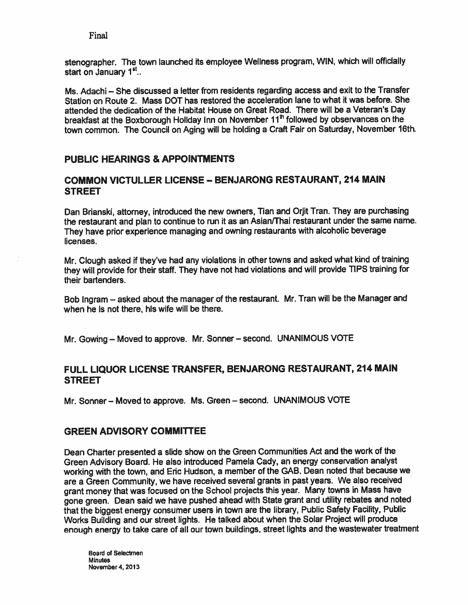stenographer. The town launched its employee Wellness program, WIN, which will officially start on January 1<sup>st</sup>...

Ms. Adachi — She discussed <sup>a</sup> letter from residents regarding access and exit to the Transfer Station on Route 2. Mass DOT has restored the acceleration lane to what it was before. She attended the dedication of the Habitat House on Great Road. There will be <sup>a</sup> Veteran's Day breakfast at the Boxborough Holiday Inn on November 11<sup>th</sup> followed by observances on the town common. The Council on Aging will be holding <sup>a</sup> Craft Fair on Saturday, November 16th.

# PUBLIC HEARINGS & APPOINTMENTS

# COMMON VICTULLER LICENSE — BENJARONG RESTAURANT, 214 MAIN **STREET**

Dan Brianski, attorney, introduced the new owners, Tian and Orjit Tran. They are purchasing the restaurant and <sup>p</sup>lan to continue to run ft as an Asian/Thai restaurant under the same name. They have prior experience managing and owning restaurants with alcoholic beverage licenses.

Mr. Clough asked if they've had any violations in other towns and asked what kind of training they will provide for their staff. They have not had violations and will provide TIPS training for their bartenders.

Bob Ingram — asked about the manager of the restaurant. Mr. Tran will be the Manager and when he is not there, his wife will be there.

Mr. Gowing — Moved to approve. Mr. Sonner — second. UNANIMOUS VOTE

# FULL LIQUOR LICENSE TRANSFER, BENJARONG RESTAURANT, <sup>214</sup> MAIN STREET

Mr. Sonner — Moved to approve. Ms. Green — second. UNANIMOUS VOTE

# **GREEN ADVISORY COMMITTEE**

Dean Charter presented <sup>a</sup> slide show on the Green Communities Act and the work of the Green Advisory Board. He also introduced Pamela Cady, an energy conservation analyst working with the town, and Eric Hudson, <sup>a</sup> member of the GAB. Dean noted that because we are <sup>a</sup> Green Community, we have received several grants in pas<sup>t</sup> years. We also received gran<sup>t</sup> money that was focused on the School projects this year. Many towns in Mass have gone green. Dean said we have pushed ahead with State gran<sup>t</sup> and utility rebates and noted that the biggest energy consumer users in town are the library, Public Safety Facility, Public Works Building and our street lights. He talked about when the Solar Project will produce enough energy to take care of all our town buildings, street lights and the wastewater treatment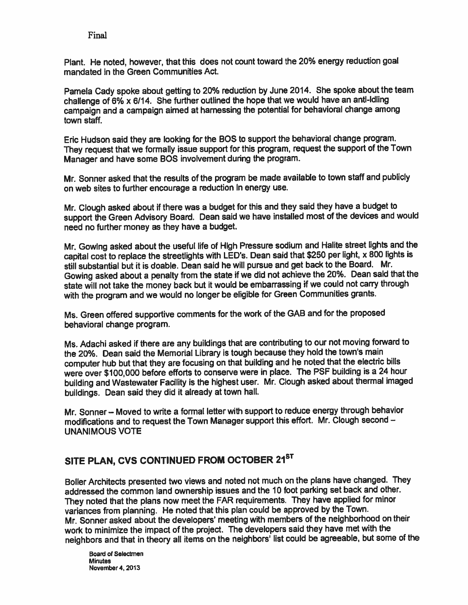Plant. He noted, however, that this does not count toward the 20% energy reduction goa<sup>l</sup> mandated in the Green Communities Act.

Pamela Cady spoke about getting to 20% reduction by June 2014. She spoke about the team challenge of  $6\%$  x  $6/14$ . She further outlined the hope that we would have an anti-idling campaign and <sup>a</sup> campaign aimed at harnessing the potential for behavioral change among town staff.

Eric Hudson said they are looking for the SOS to suppor<sup>t</sup> the behavioral change program. They reques<sup>t</sup> that we formally issue suppor<sup>t</sup> for this program, reques<sup>t</sup> the suppor<sup>t</sup> of the Town Manager and have some BOS involvement during the program.

Mr. Sonner asked that the results of the program be made available to town staff and publicly on web sites to further encourage <sup>a</sup> reduction in energy use.

Mr. Clough asked about if there was a budget for this and they said they have a budget to suppor<sup>t</sup> the Green Advisory Board. Dean said we have installed most of the devices and would need no further money as they have <sup>a</sup> budget.

Mr. Gowing asked about the useful life of High Pressure sodium and Halite street lights and the capital cost to replace the streetlights with LED's. Dean said that \$250 per light, <sup>x</sup> <sup>800</sup> lights is still substantial but it is doable. Dean said he will pursue and ge<sup>t</sup> back to the Board. Mr. Gowing asked about <sup>a</sup> penalty from the state if we did not achieve the 20%. Dean said that the state will not take the money back but it would be embarrassing if we could not carry through with the program and we would no longer be eligible for Green Communities grants.

Ms. Green offered supportive comments for the work of the GAB and for the propose<sup>d</sup> behavioral change program.

Ms. Adachi asked if there are any buildings that are contributing to our not moving forward to the 20%. Dean said the Memorial Library is tough because they hold the town's main computer hub but that they are focusing on that building and he noted that the electric bills were over \$100,000 before efforts to conserve were in <sup>p</sup>lace. The PSF building is <sup>a</sup> <sup>24</sup> hour building and Wastewater Facility is the highest user. Mr. Clough asked about thermal imaged buildings. Dean said they did it already at town hall.

Mr. Sonner — Moved to write <sup>a</sup> formal letter with suppor<sup>t</sup> to reduce energy through behavior modifications and to reques<sup>t</sup> the Town Manager suppor<sup>t</sup> this effort. Mr. Clough second — UNANIMOUS VOTE

# SITE PLAN, CVS CONTINUED FROM OCTOBER 21<sup>ST</sup>

Boiler Architects presented two views and noted not much on the <sup>p</sup>lans have changed. They addressed the common land ownership issues and the <sup>10</sup> foot parking set back and other. They noted that the <sup>p</sup>lans now meet the FAR requirements. They have applied for minor variances from <sup>p</sup>lanning. He noted that this <sup>p</sup>lan could be approve<sup>d</sup> by the Town. Mr. Sonner asked about the developers' meeting with members of the neighborhood on their work to minimize the impact of the project. The developers said they have met with the neighbors and that in theory all items on the neighbors' list could be agreeable, but some of the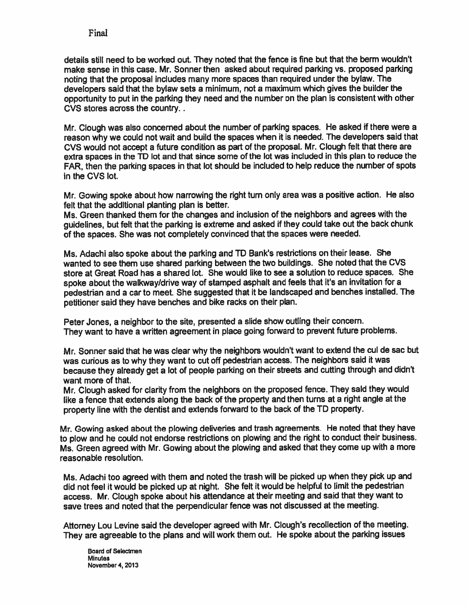details still need to be worked out. They noted that the fence is fine but that the berm wouldn't make sense in this case. Mr. Sonner then asked about required parking vs. proposed parking noting that the proposa<sup>l</sup> includes many more spaces than required under the bylaw. The developers said that the bylaw sets <sup>a</sup> minimum, not <sup>a</sup> maximum which <sup>g</sup>ives the builder the opportunity to pu<sup>t</sup> in the parking they need and the number on the <sup>p</sup>lan is consistent with other CVS stores across the country.

Mr. Clough was also concerned about the number of parking spaces. He asked if there were a reason why we could not wait and build the spaces when it is needed. The developers said that CVS would not accept a future condition as part of the proposal. Mr. Clough felt that there are extra spaces in the TD lot and that since some of the lot was included in this <sup>p</sup>lan to reduce the FAR, then the parking spaces in that lot should be included to help reduce the number of spots in the CVS lot.

Mr. Gowing spoke about how narrowing the right tum only area was <sup>a</sup> positive action. He also felt that the additional planting plan is better.

Ms. Green thanked them for the changes and inclusion of the neighbors and agrees with the guidelines, but felt that the parking is extreme and asked if they could take out the back chunk of the spaces. She was not completely convinced that the spaces were needed.

Ms. Adachi also spoke about the parking and TD Bank's restrictions on their lease. She wanted to see them use shared parking between the two buildings. She noted that the CVS store at Great Road has <sup>a</sup> shared lot. She would like to see <sup>a</sup> solution to reduce spaces. She spoke about the walkway/drive way of stamped asphalt and feels that it's an invitation for <sup>a</sup> pedestrian and <sup>a</sup> car to meet. She suggested that it be landscaped and benches installed. The petitioner said they have benches and bike racks on their <sup>p</sup>lan.

Peter Jones, <sup>a</sup> neighbor to the site, presented <sup>a</sup> slide show outling their concern. They want to have <sup>a</sup> written agreemen<sup>t</sup> in <sup>p</sup>lace going forward to preven<sup>t</sup> future problems.

Mr. Sonner said that he was clear why the neighbors wouldn't want to extend the cul de sac but was curious as to why they want to cut off pedestrian access. The neighbors said it was because they already ge<sup>t</sup> <sup>a</sup> lot of people parking on their streets and cutting through and didn't want more of that.

Mr. Clough asked for clarity from the neighbors on the proposed fence. They said they would like <sup>a</sup> fence that extends along the back of the property and then turns at <sup>a</sup> right angle at the property line with the dentist and extends forward to the back of the TD property.

Mr. Gowing asked about the <sup>p</sup>lowing deliveries and trash agreements. He noted that they have to <sup>p</sup>low and he could not endorse restrictions on <sup>p</sup>lowing and the right to conduct their business. Ms. Green agree<sup>d</sup> with Mr. Gowing about the <sup>p</sup>lowing and asked that they come up with <sup>a</sup> more reasonable resolution.

Ms. Adachi too agree<sup>d</sup> with them and noted the trash will be <sup>p</sup>icked up when they <sup>p</sup>ick up and did not feel it would be <sup>p</sup>icked up at night. She felt it would be helpful to limit the pedestrian access. Mr. Clough spoke about his attendance at their meeting and said that they want to save trees and noted that the perpendicular fence was not discussed at the meeting.

Attorney Lou Levine said the developer agree<sup>d</sup> with Mr. dough's recollection of the meeting. They are agreeable to the <sup>p</sup>lans and will work them out. He spoke about the parking issues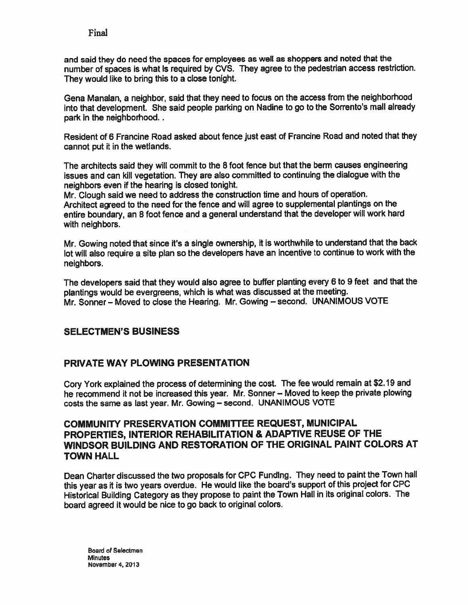and said they do need the spaces for employees as well as shoppers and noted that the number of spaces is what is required by CVS. They agree to the pedestrian access restriction. They would like to bring this to <sup>a</sup> close tonight.

Gena Manalan, <sup>a</sup> neighbor, said that they need to focus on the access from the neighborhood into that development. She said people parking on Nadine to go to the Sorrento's mall already park in the neighborhood..

Resident of <sup>6</sup> Francine Road asked about fence just east of Francine Road and noted that they cannot pu<sup>t</sup> it in the wetlands.

The architects said they will commit to the <sup>8</sup> foot fence but that the berm causes engineering issues and can kill vegetation. They are also committed to continuing the dialogue with the neighbors even if the hearing is closed tonight.

Mr. Clough said we need to address the construction time and hours of operation. Architect agree<sup>d</sup> to the need for the fence and will agree to supplemental <sup>p</sup>lantings on the entire boundary, an <sup>8</sup> foot fence and <sup>a</sup> genera<sup>l</sup> understand that the developer will work hard with neighbors.

Mr. Gowing noted that since it's <sup>a</sup> single ownership, it is worthwhile to understand that the back lot will also require <sup>a</sup> site <sup>p</sup>lan so the developers have an incentive to continue to work with the neighbors.

The developers said that they would also agree to buffer <sup>p</sup>lanting every <sup>6</sup> to <sup>9</sup> feet and that the <sup>p</sup>lantings would be evergreens, which is what was discussed at the meeting. Mr. Sonner— Moved to close the Hearing. Mr. Gowing — second. UNANIMOUS VOTE

# SELECTMEN'S BUSINESS

# PRIVATE WAY PLOWING PRESENTATION

Cory York explained the process of determining the cost. The fee would remain at \$2.19 and he recommend it not be increased this year. Mr. Sonner — Moved to keep the private <sup>p</sup>lowing costs the same as last year. Mr. Gowing — second. UNANIMOUS VOTE

# COMMUNITY PRESERVATION COMMITTEE REQUEST, MUNICIPAL PROPERTIES, INTERIOR REHABILITATION & ADAPTIVE REUSE OF THE WINDSOR BUILDING AND RESTORATION OF THE ORIGINAL PAINT COLORS AT TOWN HALL

Dean Charter discussed the two proposals for CPC Funding. They need to paint the Town hall this year as it is two years overdue. He would like the board's suppor<sup>t</sup> of this project for CPC Historical Building Category as they propose to paint the Town Hall in its original colors. The board agreed it would be nice to go back to original colors.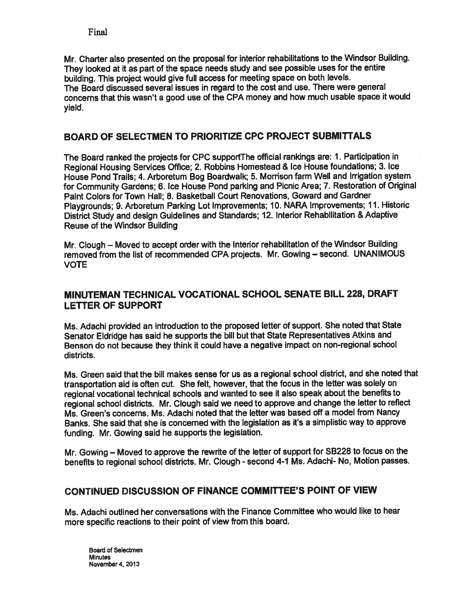Mr. Charter also presented on the proposa<sup>l</sup> for interior rehabilitations to the Windsor Building. They looked at it as part of the space needs study and see possible uses for the entire building. This project would <sup>g</sup>ive full access for meeting space on both levels. The Board discussed several issues in regard to the cost and use. There were general concerns that this wasn't <sup>a</sup> goo<sup>d</sup> use of the CPA money and how much usable space it would yield.

# BOARD OF SELECTMEN TO PRIORITIZE CPC PROJECT SUBMITTALS

The Board ranked the projects for CPC supportThe official rankings are: 1. Participation in Regional Housing Services Office; 2. Robbins Homestead & Ice House foundations; 3. Ice House Pond Trails; 4. Arboretum Bog Boardwalk; 5. Morrison farm Well and Irrigation system for Community Gardens; 6. Ice House Pond parking and Picnic Area; 7. Restoration of Original Paint Colors for Town Hall; 8. Basketball Court Renovations, Coward and Gardner Playgrounds; 9. Arboretum Parking Lot Improvements; 10. NARA Improvements; 11. Historic District Study and design Guidelines and Standards; 12. Interior Rehabilitation & Adaptive Reuse of the Windsor Building

Mr. Clough — Moved to accep<sup>t</sup> order with the Interior rehabilitation of the Windsor Building removed from the list of recommended CPA projects. Mr. Gowing — second. UNANIMOUS VOTE

# MINUTEMAN TECHNICAL VOCATIONAL SCHOOL SENATE BILL 228, DRAFT LETTER OF SUPPORT

Ms. Adachi provided an introduction to the propose<sup>d</sup> letter of support. She noted that State Senator Eldridge has said he supports the bill but that State Representatives Atkins and Benson do not because they think it could have <sup>a</sup> negative impact on non-regional school districts.

Ms. Green said that the bill makes sense for us as <sup>a</sup> regional school district, and she noted that transportation aid is often cut. She felt, however, that the focus in the letter was solely on regional vocational technical schools and wanted to see ft also spea<sup>k</sup> about the benefits to regional school districts. Mr. Clough said we need to approve and change the letter to reflect Ms. Green's concerns. Ms. Adachi noted that the letter was based off <sup>a</sup> model from Nancy Banks. She said that she is concerned with the legislation as ft's <sup>a</sup> simplistic way to approve funding. Mr. Gowing said he supports the legislation.

Mr. Gowing — Moved to approve the rewrite of the letter of suppor<sup>t</sup> for SB228 to focus on the benefits to regional school districts. Mr. Clough - second 4-1 Ms. Adachi- No, Motion passes.

# CONTINUED DISCUSSION OF FINANCE COMMITTEE'S POINT OF VIEW

Ms. Adachi outlined her conversations with the Finance Committee who would like to hear more specific reactions to their point of view from this board.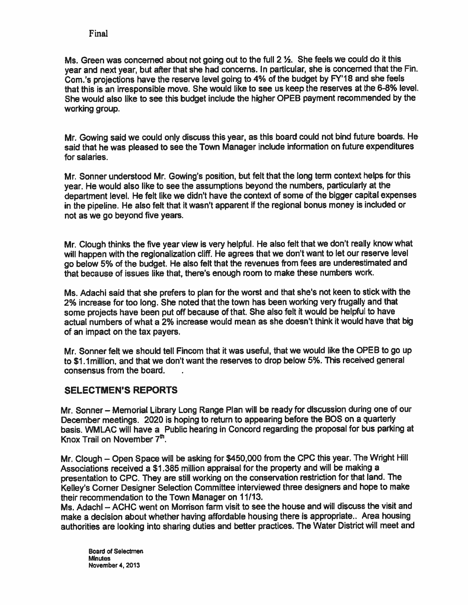Ms. Green was concerned about not going out to the full <sup>2</sup> ½. She feels we could do it this year and next year, but after that she had concerns. In particular, she is concerned that the Fin. Com.'s projections have the reserve level going to 4% of the budget by FY'18 and she feels that this is an irresponsible move. She would like to see us keep the reserves at the 6-8% level. She would also like to see this budget include the higher OPEB paymen<sup>t</sup> recommended by the working group.

Mr. Gowing said we could only discuss this year, as this board could not bind future boards. He said that he was <sup>p</sup>leased to see the Town Manager include information on future expenditures for salaries.

Mr. Sonner understood Mr. Gowing's position, but felt that the long term context helps for this year. He would also like to see the assumptions beyond the numbers, particularly at the department level. He felt like we didn't have the context of some of the bigger capital expenses in the <sup>p</sup>ipeline. He also felt that it wasn't apparen<sup>t</sup> if the regional bonus money is included or not as we go beyond five years.

Mr. Clough thinks the five year view is very helpful. He also felt that we don't really know what will happen with the regionalization cliff. He agrees that we don't want to let our reserve level go below 5% of the budget. He also felt that the revenues from fees are underestimated and that because of issues like that, there's enough room to make these numbers work.

Ms. Adachi said that she prefers to <sup>p</sup>lan for the worst and that she's not keen to stick with the 2% increase for too long. She noted that the town has been working very frugally and that some projects have been pu<sup>t</sup> off because of that. She also felt it would be helpful to have actual numbers of what <sup>a</sup> 2% increase would mean as she doesn't think it would have that big of an impact on the tax payers.

Mr. Sonner felt we should tell Fincom that it was useful, that we would like the OPEB to go up to \$1.1 million, and that we don't want the reserves to drop below 5%. This received general consensus from the board.

# SELECTMEN'S REPORTS

Mr. Sonner — Memorial Library Long Range Plan will be ready for discussion during one of our December meetings. <sup>2020</sup> is hoping to return to appearing before the <sup>803</sup> on <sup>a</sup> quarterly basis. WMLAC will have <sup>a</sup> Public hearing in Concord regarding the proposa<sup>l</sup> for bus parking at Knox Trail on November  $7<sup>th</sup>$ .

Mr. Clough – Open Space will be asking for \$450,000 from the CPC this year. The Wright Hill Associations received <sup>a</sup> \$1 .385 million appraisal for the property and will be making <sup>a</sup> presentation to CPC. They are still working on the conservation restriction for that land. The Kelley's Corner Designer Selection Committee interviewed three designers and hope to make their recommendation to the Town Manager on 11/13.

Ms. Adachi — ACHC went on Morrison farm visit to see the house and will discuss the visit and make <sup>a</sup> decision about whether having affordable housing there is appropriate.. Area housing authorities are looking into sharing duties and better practices. The Water District will meet and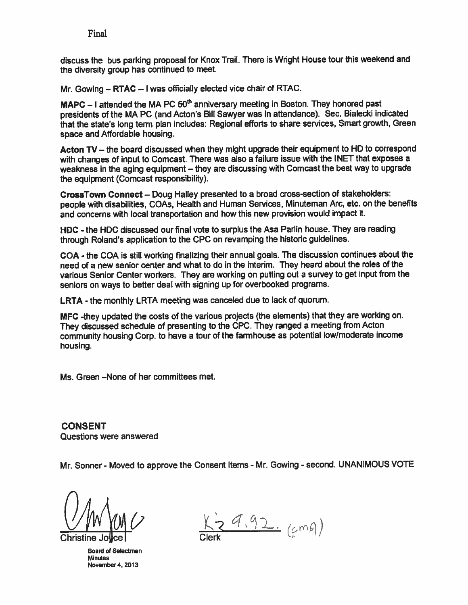discuss the bus parking proposa<sup>l</sup> for Knox Trail. There is Wright House tour this weekend and the diversity group has continued to meet.

Mr. Gowing — RTAC — <sup>I</sup> was officially elected vice chair of RTAC.

**MAPC** – I attended the MA PC  $50<sup>th</sup>$  anniversary meeting in Boston. They honored past presidents of the MA PC (and Acton's Bill Sawyer was in attendance). Sec. Bialecki indicated that the state's long term <sup>p</sup>lan includes: Regional efforts to share services, Smart growth, Green space and Affordable housing.

Acton TV – the board discussed when they might upgrade their equipment to HD to correspond with changes of input to Comcast. There was also <sup>a</sup> failure issue with the INET that exposes <sup>a</sup> weakness in the aging equipment — they are discussing with Comcast the best way to upgrade the equipment (Comcast responsibility).

CrossTown Connect — Doug Halley presented to <sup>a</sup> broad cross-section of stakeholders: people with disabilities, COAs, Health and Human Services, Minuteman Arc, etc. on the benefits and concerns with local transportation and how this new provision would impact it.

HDC - the HDC discussed our final vote to surplus the Asa Parlin house. They are reading through Roland's application to the CPC on revamping the historic guidelines.

COA - the COA is still working finalizing their annual goals. The discussion continues about the need of <sup>a</sup> new senior center and what to do in the interim. They heard about the roles of the various Senior Center workers. They are working on puffing out <sup>a</sup> survey to ge<sup>t</sup> input from the seniors on ways to better deal with signing up for overbooked programs.

LRTA - the monthly LRTA meeting was canceled due to lack of quorum.

MFC -they updated the costs of the various projects (the elements) that they are working on. They discussed schedule of presenting to the CPC. They range<sup>d</sup> <sup>a</sup> meeting from Acton community housing Corp. to have <sup>a</sup> tour of the farmhouse as potential lowlmoderate income housing.

Ms. Green —None of her committees met.

CONSENT Questions were answered

Mr. Sonner - Moved to approve the Consent Items - Mr. Gowing - second. UNANIMOUS VOTE

Board of Selectmen Minutes Novernber4. 2013

 $29.92.$  (cmg)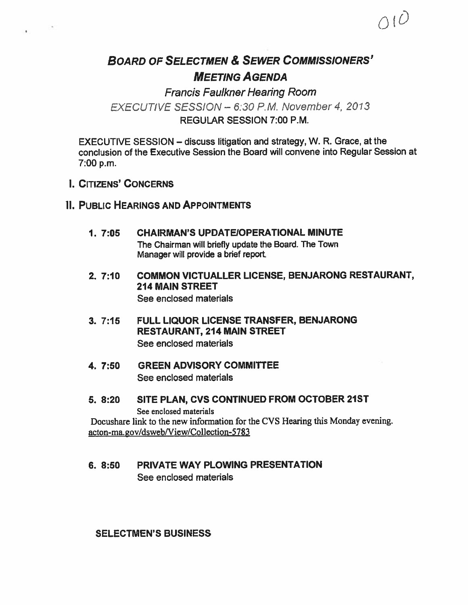# BOARD OF SELECTMEN & SEWER COMMISSIONERS' MEETING AGENDA

 $\bigcap$  10

Francis Faulkner Hearing Room EXECUTIVE SESSION - 6:30 P.M. November 4, 2013 REGULAR SESSION 7:00 P.M.

EXECUTIVE SESSION — discuss litigation and strategy, W. R. Grace, at the conclusion of the Executive Session the Board will convene into Regular Session at 7:00 p.m.

I. CITIZENS' CONCERNS

# II. PUBLIC HEARINGS AND APPOINTMENTS

- 1. 7:05 CHAIRMAN'S UPDATEIOPERATIONAL MINUTE The Chairman will briefly update the Board. The Town Manager will provide <sup>a</sup> brief report.
- 2. 7:10 COMMON VICTUALLER LICENSE, BENJARONG RESTAURANT, 214 MAIN STREET See enclosed materials
- 3. 7:15 FULL LIQUOR LICENSE TRANSFER, BENJARONG RESTAURANT, 214 MAIN STREET See enclosed materials
- 4. 7:50 GREEN ADVISORY COMMITTEE See enclosed materials
- 5. 8:20 SITE PLAN, CVS CONTINUED FROM OCTOBER 21ST See enclosed materials

Docushare link to the new information for the CVS Hearing this Monday evening. acton-ma.gov/dsweb/View/Collection-5783

### 6. 8:50 PRIVATE WAY PLOWING PRESENTATION See enclosed materials

SELECTMEN'S BUSINESS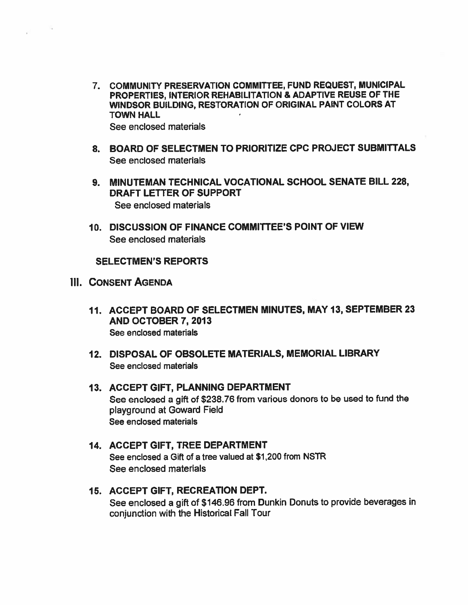- 7. COMMUNITY PRESERVATION COMMITTEE, FUND REQUEST, MUNICIPAL PROPERTIES, INTERIOR REHABILITATION & ADAPTiVE REUSE OF THE WINDSOR BUILDING, RESTORATION OF ORIGINAL PAINT COLORS AT TOWN HALL See enclosed materials
- 8. BOARD OF SELECTMEN TO PRIORITIZE CPC PROJECT SUBMITTALS See enclosed materials
- 9. MINUTEMAN TECHNICAL VOCATIONAL SCHOOL SENATE BILL 228, DRAFT LETTER OF SUPPORT See enclosed materials
- 10. DISCUSSION OF FINANCE COMMITTEE'S POINT OF VIEW See enclosed materials

# SELECTMEN'S REPORTS

- III. CONSENT AGENDA
	- 11. ACCEPT BOARD OF SELECTMEN MINUTES, MAY 13, SEPTEMBER23 AND OCTOBER 7, 2013 See enclosed materials
	- 12. DISPOSAL OF OBSOLETE MATERIALS, MEMORIAL LIBRARY See enclosed materials
	- 13. ACCEPT GIFT, PLANNING DEPARTMENT See enclosed <sup>a</sup> <sup>g</sup>ift of \$238.76 from various donors to be used to fund the playground at Goward Field See enclosed materials

# 14. ACCEPT GIFT, TREE DEPARTMENT See enclosed <sup>a</sup> Gift of <sup>a</sup> tree valued at \$1200 from NSTR See enclosed materials

# 15. ACCEPT GIFT, RECREATION DEPT. See enclosed <sup>a</sup> <sup>g</sup>ift of \$146.96 from Dunkin Donuts to provide beverages in conjunction with the Historical Fall Tour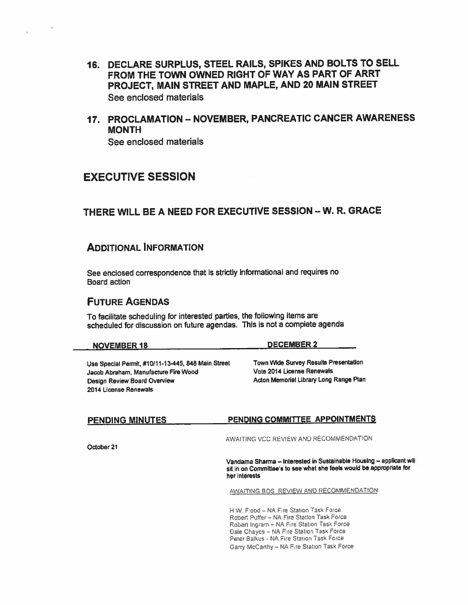- 16. DECLARE SURPLUS, STEEL RAILS, SPIKES AND BOLTS TO SELL FROM THE TOWN OWNED RIGHT OF WAY AS PART OF ARRT PROJECT, MAIN STREET AND MAPLE, AND 20 MAIN STREET See enclosed mateñals
- 17. PROCLAMATION NOVEMBER, PANCREATIC CANCER AWARENESS MONTH See enclosed materials

# EXECUTIVE SESSION

# THERE WILL BE A NEED FOR EXECUTIVE SESSION - W. R. GRACE

### ADDITIONAL INFORMATION

See enclosed correspondence that is strictly informational and requires no Board action

# FUTURE AGENDAS

To facilitate scheduling for interested parties, the following items are scheduled for discussion on future agendas. This is not <sup>a</sup> complete agenda

#### NOVEMBER 18 DECEMBER 2

Use Special Permit, #10/11-13445, <sup>848</sup> Main Street Town Wide Survey Results Presentation Jacob Abraham, Manufacture Fire Wood Vote 2014 License Renewals Design Review Board Overview Manuscript Acton Memorial Library Long Range Plan 2014 License Renewals

# PENDING MINUTES PENDING COMMITTEE APPOINTMENTS

AWAITING VCC REVIEW AND RECOMMENDATION

October21

Vandama Sharma — Interested in Sustainable Housing — applicant will sit in on Committee's to see what she feels would be appropriate for her interests

AWAITING BOS REVIEW AND RECOMMENDATION

H.W. Flood – NA Fire Station Task Force Robert Puffer — NA Fire Station Task Force Robert Ingram - NA Fire Station Task Force Dale Chayes — NA Fire Station Task Force Peter Balkus - NA Fire Station Task Force Garry McCarthy - NA Fire Station Task Force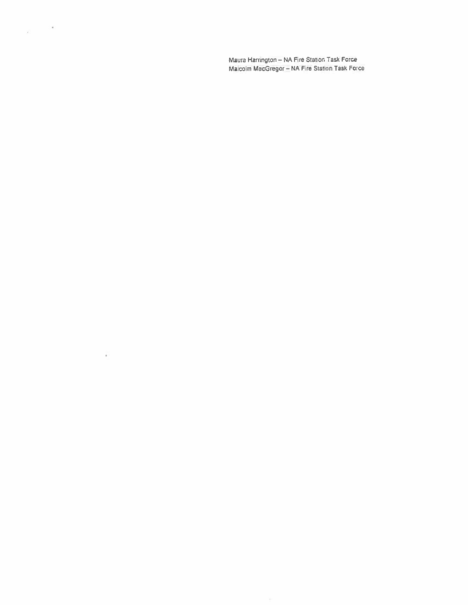Maura Harrington - NA Fire Station Task Force Malcolm MacGregor - NA Fire Station Task Force

 $\chi = -20$ 

Ÿ.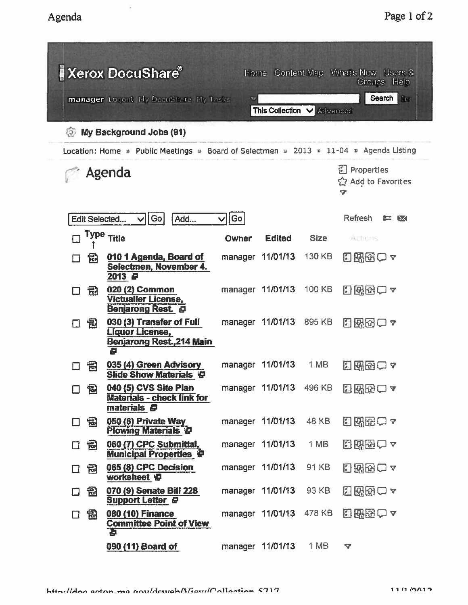| <b>Xerox DocuShare®</b><br>Home Content Map What's New Users &<br>Groups Help         |                                                                                  |       |                         |                                            |                            |  |  |  |  |  |  |
|---------------------------------------------------------------------------------------|----------------------------------------------------------------------------------|-------|-------------------------|--------------------------------------------|----------------------------|--|--|--|--|--|--|
| Search In:<br>manager Logout Hy DocuShare Hy Tasks<br>v<br>This Collection V Advanced |                                                                                  |       |                         |                                            |                            |  |  |  |  |  |  |
| My Background Jobs (91)<br>55)                                                        |                                                                                  |       |                         |                                            |                            |  |  |  |  |  |  |
| Location: Home : Public Meetings > Board of Selectmen > 2013 + 11-04 > Agenda Listing |                                                                                  |       |                         |                                            |                            |  |  |  |  |  |  |
| Agenda                                                                                |                                                                                  |       |                         | <b>Properties</b><br>Add to Favorites<br>v |                            |  |  |  |  |  |  |
| Edit Selected                                                                         | Go<br>Add                                                                        | Go    |                         |                                            | <b>Refresh</b><br>DК<br>E. |  |  |  |  |  |  |
| Type                                                                                  | <b>Title</b>                                                                     | Owner | <b>Edited</b>           | <b>Size</b>                                | Actions                    |  |  |  |  |  |  |
| 傝<br>П                                                                                | 010 1 Agenda, Board of<br>Selectmen, November 4.<br>2013 日                       |       | manager 11/01/13        | 130 KB                                     | 日界田一~                      |  |  |  |  |  |  |
| 氥                                                                                     | 020 (2) Common<br><b>Victualler License,</b><br><b>Benjarong Rest &amp;</b>      |       | manager 11/01/13        | 100 KB                                     | 2888○ 7                    |  |  |  |  |  |  |
| 愠<br>┑                                                                                | 030 (3) Transfer of Full<br>Liquor License,<br>Benjarong Rest.,214 Main          |       | manager 11/01/13        | 895 KB                                     | 国界田口ャ                      |  |  |  |  |  |  |
| 冠                                                                                     | 035 (4) Green Advisory<br><b>Slide Show Materials 9</b>                          |       | manager 11/01/13        | 1 MB                                       | 图图图<br>V                   |  |  |  |  |  |  |
| 口 国                                                                                   | 040 (5) CVS Site Plan<br><b>Materials - check link for</b><br>materials <b>@</b> |       | manager 11/01/13 496 KB |                                            | 288201                     |  |  |  |  |  |  |
| 园<br>П                                                                                | 050 (6) Private Way<br><b>Plowing Materials P</b>                                |       | manager 11/01/13        | 48 KB                                      | 2 【图2】7                    |  |  |  |  |  |  |
| 冒<br>$\Box$                                                                           | 060 (7) CPC Submittal,<br><b>Municipal Properties &amp;</b>                      |       | manager 11/01/13        | 1 MB                                       | 2830 2                     |  |  |  |  |  |  |
| 园<br>$\Box$                                                                           | 065 (8) CPC Decision<br>worksheet E                                              |       | manager 11/01/13        | 91 KB                                      | 日出田一~                      |  |  |  |  |  |  |
| 囹<br>$\Box$                                                                           | 070 (9) Senate Bill 228<br>Support Letter &                                      |       | manager 11/01/13        | 93 KB                                      | 5880 2                     |  |  |  |  |  |  |
| 圖<br>$\Box$                                                                           | 080 (10) Finance<br><b>Committee Point of View</b><br>Ъ                          |       | manager 11/01/13        | 478 KB                                     | 出界的一ヶ                      |  |  |  |  |  |  |
|                                                                                       | 090 (11) Board of                                                                |       | manager 11/01/13        | 1 MB                                       | $\blacktriangledown$       |  |  |  |  |  |  |